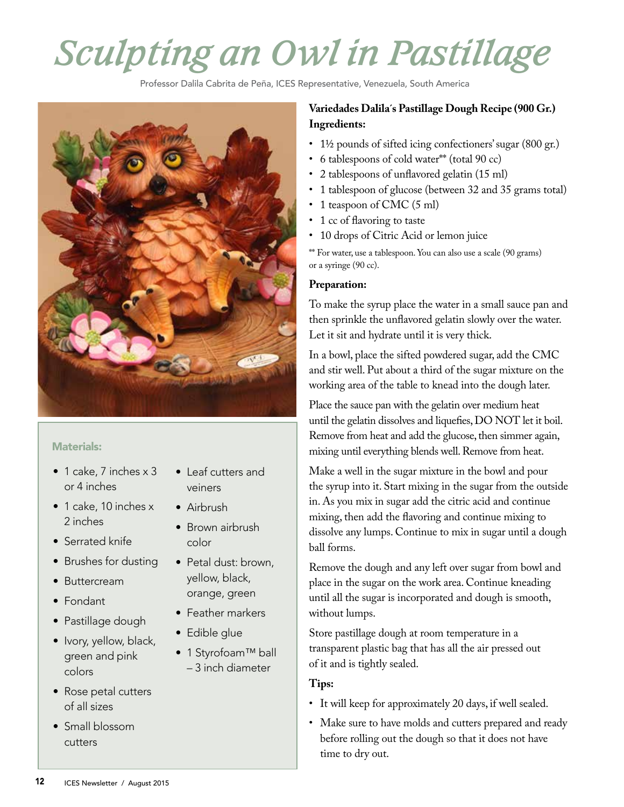# *Sculpting an Owl in Pastillage*

Professor Dalila Cabrita de Peña, ICES Representative, Venezuela, South America



#### Materials:

- 1 cake, 7 inches x 3 or 4 inches
- 1 cake, 10 inches x 2 inches
- Serrated knife
- Brushes for dusting
- Buttercream
- Fondant
- Pastillage dough
- Ivory, yellow, black, green and pink colors
- Rose petal cutters of all sizes
- Small blossom cutters
- Leaf cutters and veiners
- Airbrush
- Brown airbrush color
- Petal dust: brown, yellow, black, orange, green
- Feather markers
- Edible glue
- 1 Styrofoam™ ball – 3 inch diameter

## **Variedades Dalila´s Pastillage Dough Recipe (900 Gr.) Ingredients:**

- 1½ pounds of sifted icing confectioners' sugar (800 gr.)
- 6 tablespoons of cold water\*\* (total 90 cc)
- 2 tablespoons of unflavored gelatin (15 ml)
- 1 tablespoon of glucose (between 32 and 35 grams total)
- 1 teaspoon of CMC (5 ml)
- 1 cc of flavoring to taste
- 10 drops of Citric Acid or lemon juice

\*\* For water, use a tablespoon. You can also use a scale (90 grams) or a syringe (90 cc).

#### **Preparation:**

To make the syrup place the water in a small sauce pan and then sprinkle the unflavored gelatin slowly over the water. Let it sit and hydrate until it is very thick.

In a bowl, place the sifted powdered sugar, add the CMC and stir well. Put about a third of the sugar mixture on the working area of the table to knead into the dough later.

Place the sauce pan with the gelatin over medium heat until the gelatin dissolves and liquefies, DO NOT let it boil. Remove from heat and add the glucose, then simmer again, mixing until everything blends well. Remove from heat.

Make a well in the sugar mixture in the bowl and pour the syrup into it. Start mixing in the sugar from the outside in. As you mix in sugar add the citric acid and continue mixing, then add the flavoring and continue mixing to dissolve any lumps. Continue to mix in sugar until a dough ball forms.

Remove the dough and any left over sugar from bowl and place in the sugar on the work area. Continue kneading until all the sugar is incorporated and dough is smooth, without lumps.

Store pastillage dough at room temperature in a transparent plastic bag that has all the air pressed out of it and is tightly sealed.

# **Tips:**

- It will keep for approximately 20 days, if well sealed.
- Make sure to have molds and cutters prepared and ready before rolling out the dough so that it does not have time to dry out.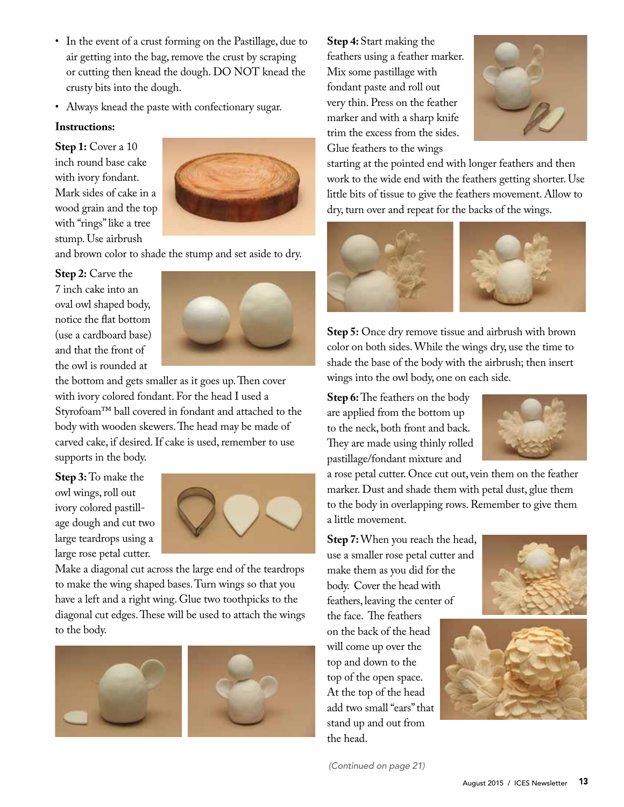- In the event of a crust forming on the Pastillage, due to air getting into the bag, remove the crust by scraping or cutting then knead the dough. DO NOT knead the crusty bits into the dough.
- Always knead the paste with confectionary sugar.

#### **Instructions:**

**Step 1:** Cover a 10 inch round base cake with ivory fondant. Mark sides of cake in a wood grain and the top with "rings" like a tree stump. Use airbrush



and brown color to shade the stump and set aside to dry.

### **Step 2:** Carve the 7 inch cake into an oval owl shaped body, notice the flat bottom (use a cardboard base) and that the front of the owl is rounded at



the bottom and gets smaller as it goes up. Then cover with ivory colored fondant. For the head I used a Styrofoam™ ball covered in fondant and attached to the body with wooden skewers. The head may be made of carved cake, if desired. If cake is used, remember to use supports in the body.

**Step 3:** To make the owl wings, roll out ivory colored pastillage dough and cut two large teardrops using a large rose petal cutter.



Make a diagonal cut across the large end of the teardrops to make the wing shaped bases. Turn wings so that you have a left and a right wing. Glue two toothpicks to the diagonal cut edges. These will be used to attach the wings to the body.



**Step 4:** Start making the feathers using a feather marker. Mix some pastillage with fondant paste and roll out very thin. Press on the feather marker and with a sharp knife trim the excess from the sides. Glue feathers to the wings



starting at the pointed end with longer feathers and then work to the wide end with the feathers getting shorter. Use little bits of tissue to give the feathers movement. Allow to dry, turn over and repeat for the backs of the wings.



**Step 5:** Once dry remove tissue and airbrush with brown color on both sides. While the wings dry, use the time to shade the base of the body with the airbrush; then insert wings into the owl body, one on each side.

**Step 6:** The feathers on the body are applied from the bottom up to the neck, both front and back. They are made using thinly rolled pastillage/fondant mixture and



a rose petal cutter. Once cut out, vein them on the feather marker. Dust and shade them with petal dust, glue them to the body in overlapping rows. Remember to give them a little movement.

**Step 7:** When you reach the head, use a smaller rose petal cutter and make them as you did for the body. Cover the head with feathers, leaving the center of the face. The feathers on the back of the head will come up over the top and down to the top of the open space. At the top of the head add two small "ears" that stand up and out from the head.





*(Continued on page 21)*